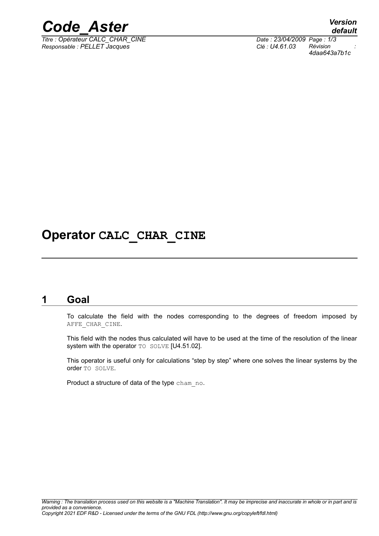

*Titre : Opérateur CALC\_CHAR\_CINE Date : 23/04/2009 Page : 1/3 Responsable : PELLET Jacques Clé : U4.61.03 Révision :*

*default 4daa643a7b1c*

## **Operator CALC\_CHAR\_CINE**

#### **1 Goal**

To calculate the field with the nodes corresponding to the degrees of freedom imposed by AFFE\_CHAR\_CINE.

This field with the nodes thus calculated will have to be used at the time of the resolution of the linear system with the operator TO SOLVE [U4.51.02].

This operator is useful only for calculations "step by step" where one solves the linear systems by the order TO SOLVE.

Product a structure of data of the type cham no.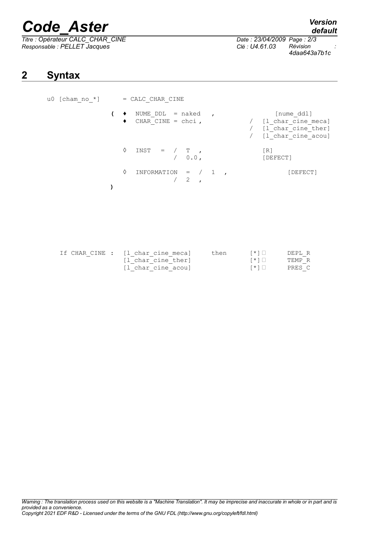# *Code\_Aster Version*

*Titre : Opérateur CALC\_CHAR\_CINE Date : 23/04/2009 Page : 2/3 Responsable : PELLET Jacques Clé : U4.61.03 Révision :*

*4daa643a7b1c*

## **2 Syntax**

| u0 [cham no $*$ ] | = CALC CHAR CINE                                          |                                                                                  |  |  |  |
|-------------------|-----------------------------------------------------------|----------------------------------------------------------------------------------|--|--|--|
|                   | NUME DDL = $naked$ ,<br>CHAR CINE = $chci$ ,<br>$\bullet$ | [nume ddl]<br>/ [1 char cine meca]<br>/ [1 char cine ther]<br>[1 char cine acou] |  |  |  |
|                   | ♦<br>$INST = / T$ ,<br>$/ 0.0$ ,                          | [R]<br>[DEFECT]                                                                  |  |  |  |
|                   | ♦<br>INFORMATION = $/ 1$<br>2                             | [DEFECT]                                                                         |  |  |  |
|                   |                                                           |                                                                                  |  |  |  |

| If CHAR CINE : [1 char cine meca] | then | $\left[\begin{array}{c} * \\ * \end{array}\right]$ | DEPL R |
|-----------------------------------|------|----------------------------------------------------|--------|
| [1 char cine ther]                |      | $\left\lceil \frac{1}{2} \right\rceil$             | TEMP R |
| [l char cine acou]                |      | $\lceil * \rceil$                                  | PRES C |